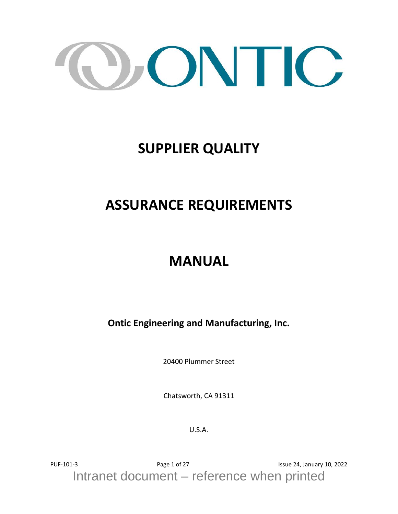

## **SUPPLIER QUALITY**

## **ASSURANCE REQUIREMENTS**

## **MANUAL**

**Ontic Engineering and Manufacturing, Inc.**

20400 Plummer Street

Chatsworth, CA 91311

U.S.A.

PUF-101-3 Page 1 of 27 Page 1 of 27 Issue 24, January 10, 2022 Intranet document – reference when printed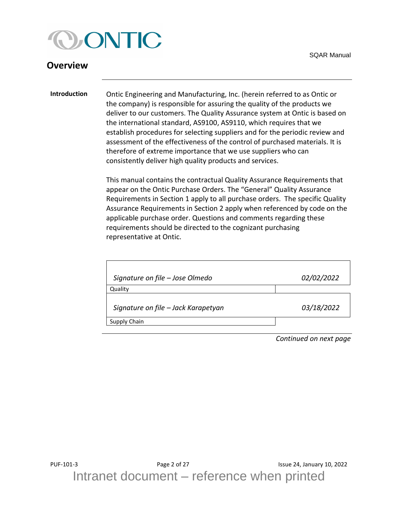

#### <span id="page-1-0"></span>**Overview**

<span id="page-1-1"></span>**Introduction** Ontic Engineering and Manufacturing, Inc. (herein referred to as Ontic or the company) is responsible for assuring the quality of the products we deliver to our customers. The Quality Assurance system at Ontic is based on the international standard, AS9100, AS9110, which requires that we establish procedures for selecting suppliers and for the periodic review and assessment of the effectiveness of the control of purchased materials. It is therefore of extreme importance that we use suppliers who can consistently deliver high quality products and services.

> This manual contains the contractual Quality Assurance Requirements that appear on the Ontic Purchase Orders. The "General" Quality Assurance Requirements in Section 1 apply to all purchase orders. The specific Quality Assurance Requirements in Section 2 apply when referenced by code on the applicable purchase order. Questions and comments regarding these requirements should be directed to the cognizant purchasing representative at Ontic.

| Signature on file - Jose Olmedo     | 02/02/2022 |
|-------------------------------------|------------|
| Quality                             |            |
| Signature on file - Jack Karapetyan | 03/18/2022 |
| Supply Chain                        |            |
|                                     |            |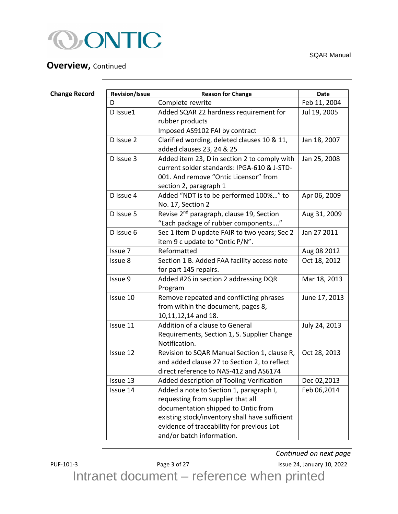

## **Overview, Continued**

SQAR Manual

<span id="page-2-0"></span>

| <b>Change Record</b> | <b>Revision/Issue</b> | <b>Reason for Change</b>                             | <b>Date</b>   |
|----------------------|-----------------------|------------------------------------------------------|---------------|
|                      | D                     | Complete rewrite                                     | Feb 11, 2004  |
|                      | D Issue1              | Added SQAR 22 hardness requirement for               | Jul 19, 2005  |
|                      |                       | rubber products                                      |               |
|                      |                       | Imposed AS9102 FAI by contract                       |               |
|                      | D Issue 2             | Clarified wording, deleted clauses 10 & 11,          | Jan 18, 2007  |
|                      |                       | added clauses 23, 24 & 25                            |               |
|                      | D Issue 3             | Added item 23, D in section 2 to comply with         | Jan 25, 2008  |
|                      |                       | current solder standards: IPGA-610 & J-STD-          |               |
|                      |                       | 001. And remove "Ontic Licensor" from                |               |
|                      |                       | section 2, paragraph 1                               |               |
|                      | D Issue 4             | Added "NDT is to be performed 100%" to               | Apr 06, 2009  |
|                      |                       | No. 17, Section 2                                    |               |
|                      | D Issue 5             | Revise 2 <sup>nd</sup> paragraph, clause 19, Section | Aug 31, 2009  |
|                      |                       | "Each package of rubber components"                  |               |
|                      | D Issue 6             | Sec 1 item D update FAIR to two years; Sec 2         | Jan 27 2011   |
|                      |                       | item 9 c update to "Ontic P/N".                      |               |
|                      | Issue 7               | Reformatted                                          | Aug 08 2012   |
|                      | Issue 8               | Section 1 B. Added FAA facility access note          | Oct 18, 2012  |
|                      |                       | for part 145 repairs.                                |               |
|                      | Issue 9               | Added #26 in section 2 addressing DQR                | Mar 18, 2013  |
|                      |                       | Program                                              |               |
|                      | Issue 10              | Remove repeated and conflicting phrases              | June 17, 2013 |
|                      |                       | from within the document, pages 8,                   |               |
|                      |                       | 10,11,12,14 and 18.                                  |               |
|                      | Issue 11              | Addition of a clause to General                      | July 24, 2013 |
|                      |                       | Requirements, Section 1, S. Supplier Change          |               |
|                      |                       | Notification.                                        |               |
|                      | Issue 12              | Revision to SQAR Manual Section 1, clause R,         | Oct 28, 2013  |
|                      |                       | and added clause 27 to Section 2, to reflect         |               |
|                      |                       | direct reference to NAS-412 and AS6174               |               |
|                      | Issue 13              | Added description of Tooling Verification            | Dec 02,2013   |
|                      | Issue 14              | Added a note to Section 1, paragraph I,              | Feb 06,2014   |
|                      |                       | requesting from supplier that all                    |               |
|                      |                       | documentation shipped to Ontic from                  |               |
|                      |                       | existing stock/inventory shall have sufficient       |               |
|                      |                       | evidence of traceability for previous Lot            |               |
|                      |                       | and/or batch information.                            |               |

PUF-101-3 Page 3 of 27 Page 3 of 27 Issue 24, January 10, 2022 *Continued on next page*

Intranet document – reference when printed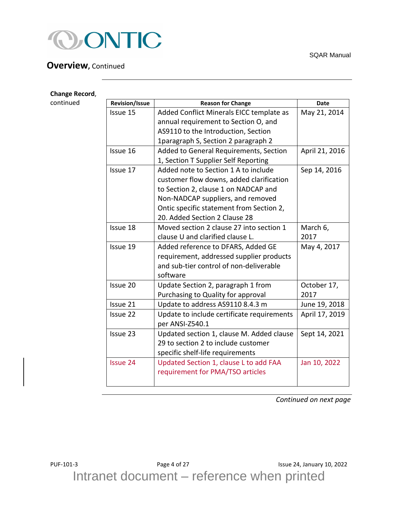

#### **Overview,** Continued

| <b>Change Record,</b> |                       |                                            |                |
|-----------------------|-----------------------|--------------------------------------------|----------------|
| continued             | <b>Revision/Issue</b> | <b>Reason for Change</b>                   | <b>Date</b>    |
|                       | Issue 15              | Added Conflict Minerals EICC template as   | May 21, 2014   |
|                       |                       | annual requirement to Section O, and       |                |
|                       |                       | AS9110 to the Introduction, Section        |                |
|                       |                       | 1paragraph S, Section 2 paragraph 2        |                |
|                       | Issue 16              | Added to General Requirements, Section     | April 21, 2016 |
|                       |                       | 1, Section T Supplier Self Reporting       |                |
|                       | Issue 17              | Added note to Section 1 A to include       | Sep 14, 2016   |
|                       |                       | customer flow downs, added clarification   |                |
|                       |                       | to Section 2, clause 1 on NADCAP and       |                |
|                       |                       | Non-NADCAP suppliers, and removed          |                |
|                       |                       | Ontic specific statement from Section 2,   |                |
|                       |                       | 20. Added Section 2 Clause 28              |                |
|                       | Issue 18              | Moved section 2 clause 27 into section 1   | March 6,       |
|                       |                       | clause U and clarified clause L.           | 2017           |
|                       | Issue 19              | Added reference to DFARS, Added GE         | May 4, 2017    |
|                       |                       | requirement, addressed supplier products   |                |
|                       |                       | and sub-tier control of non-deliverable    |                |
|                       |                       | software                                   |                |
|                       | Issue 20              | Update Section 2, paragraph 1 from         | October 17,    |
|                       |                       | Purchasing to Quality for approval         | 2017           |
|                       | Issue 21              | Update to address AS9110 8.4.3 m           | June 19, 2018  |
|                       | Issue 22              | Update to include certificate requirements | April 17, 2019 |
|                       |                       | per ANSI-Z540.1                            |                |
|                       | Issue 23              | Updated section 1, clause M. Added clause  | Sept 14, 2021  |
|                       |                       | 29 to section 2 to include customer        |                |
|                       |                       | specific shelf-life requirements           |                |
|                       | <b>Issue 24</b>       | Updated Section 1, clause L to add FAA     | Jan 10, 2022   |
|                       |                       | requirement for PMA/TSO articles           |                |
|                       |                       |                                            |                |

**Change Record**,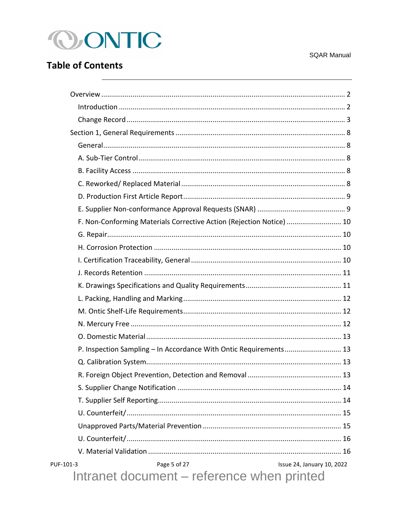

## **Table of Contents**

| F. Non-Conforming Materials Corrective Action (Rejection Notice)  10 |  |
|----------------------------------------------------------------------|--|
|                                                                      |  |
|                                                                      |  |
|                                                                      |  |
|                                                                      |  |
|                                                                      |  |
|                                                                      |  |
|                                                                      |  |
|                                                                      |  |
|                                                                      |  |
| P. Inspection Sampling - In Accordance With Ontic Requirements 13    |  |
|                                                                      |  |
|                                                                      |  |
|                                                                      |  |
|                                                                      |  |
|                                                                      |  |
|                                                                      |  |
|                                                                      |  |
|                                                                      |  |
| Issue 24, January 10, 2022<br>PUF-101-3<br>Page 5 of 27              |  |
| Intranet document – reference when printed                           |  |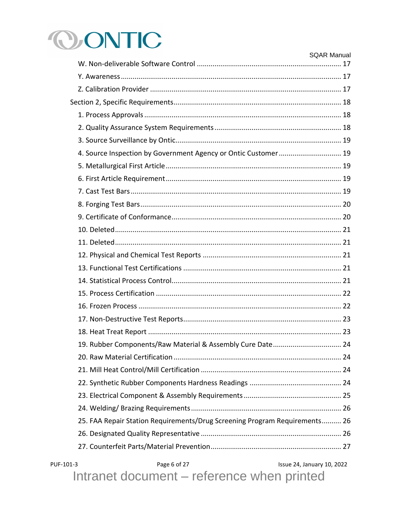# **OONTIC**

|           |                                                                            | <b>SQAR Manual</b>         |
|-----------|----------------------------------------------------------------------------|----------------------------|
|           |                                                                            |                            |
|           |                                                                            |                            |
|           |                                                                            |                            |
|           |                                                                            |                            |
|           |                                                                            |                            |
|           |                                                                            |                            |
|           | 4. Source Inspection by Government Agency or Ontic Customer 19             |                            |
|           |                                                                            |                            |
|           |                                                                            |                            |
|           |                                                                            |                            |
|           |                                                                            |                            |
|           |                                                                            |                            |
|           |                                                                            |                            |
|           |                                                                            |                            |
|           |                                                                            |                            |
|           |                                                                            |                            |
|           |                                                                            |                            |
|           |                                                                            |                            |
|           |                                                                            |                            |
|           |                                                                            |                            |
|           |                                                                            |                            |
|           |                                                                            |                            |
|           | 19. Rubber Components/Raw Material & Assembly Cure Date 24                 |                            |
|           |                                                                            |                            |
|           |                                                                            |                            |
|           |                                                                            |                            |
|           |                                                                            |                            |
|           |                                                                            |                            |
|           | 25. FAA Repair Station Requirements/Drug Screening Program Requirements 26 |                            |
|           |                                                                            |                            |
|           |                                                                            |                            |
| PUF-101-3 | Page 6 of 27                                                               | Issue 24, January 10, 2022 |

Intranet document – reference when printed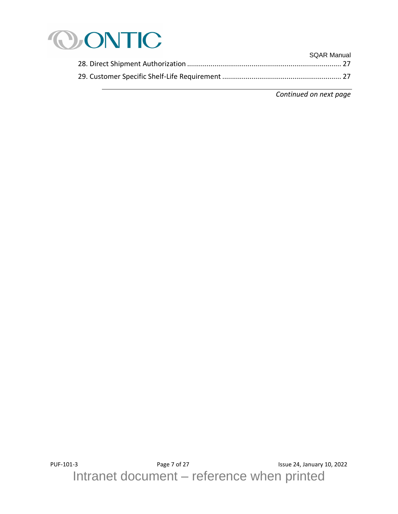

| <b>SQAR Manual</b> |
|--------------------|
|                    |
|                    |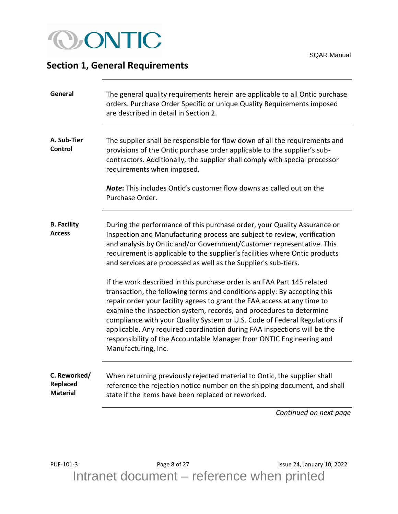

#### <span id="page-7-0"></span>**Section 1, General Requirements**

<span id="page-7-3"></span><span id="page-7-2"></span><span id="page-7-1"></span>

| General                             | The general quality requirements herein are applicable to all Ontic purchase<br>orders. Purchase Order Specific or unique Quality Requirements imposed<br>are described in detail in Section 2.                                                                                                                                                                                                                                                                                                                                                                 |
|-------------------------------------|-----------------------------------------------------------------------------------------------------------------------------------------------------------------------------------------------------------------------------------------------------------------------------------------------------------------------------------------------------------------------------------------------------------------------------------------------------------------------------------------------------------------------------------------------------------------|
| A. Sub-Tier<br>Control              | The supplier shall be responsible for flow down of all the requirements and<br>provisions of the Ontic purchase order applicable to the supplier's sub-<br>contractors. Additionally, the supplier shall comply with special processor<br>requirements when imposed.<br><b>Note:</b> This includes Ontic's customer flow downs as called out on the                                                                                                                                                                                                             |
|                                     | Purchase Order.                                                                                                                                                                                                                                                                                                                                                                                                                                                                                                                                                 |
| <b>B.</b> Facility<br><b>Access</b> | During the performance of this purchase order, your Quality Assurance or<br>Inspection and Manufacturing process are subject to review, verification<br>and analysis by Ontic and/or Government/Customer representative. This<br>requirement is applicable to the supplier's facilities where Ontic products<br>and services are processed as well as the Supplier's sub-tiers.                                                                                                                                                                                 |
|                                     | If the work described in this purchase order is an FAA Part 145 related<br>transaction, the following terms and conditions apply: By accepting this<br>repair order your facility agrees to grant the FAA access at any time to<br>examine the inspection system, records, and procedures to determine<br>compliance with your Quality System or U.S. Code of Federal Regulations if<br>applicable. Any required coordination during FAA inspections will be the<br>responsibility of the Accountable Manager from ONTIC Engineering and<br>Manufacturing, Inc. |
|                                     |                                                                                                                                                                                                                                                                                                                                                                                                                                                                                                                                                                 |

<span id="page-7-4"></span>**C. Reworked/ Replaced Material** When returning previously rejected material to Ontic, the supplier shall reference the rejection notice number on the shipping document, and shall state if the items have been replaced or reworked.

*Continued on next page*

PUF-101-3 Page 8 of 27 Page 8 of 27 Issue 24, January 10, 2022 Intranet document – reference when printed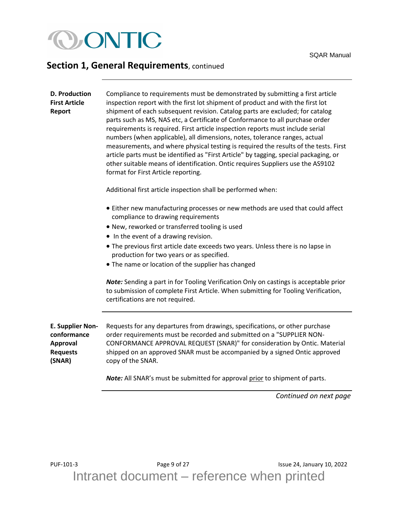

<span id="page-8-1"></span><span id="page-8-0"></span>

| <b>D. Production</b><br><b>First Article</b><br>Report                          | Compliance to requirements must be demonstrated by submitting a first article<br>inspection report with the first lot shipment of product and with the first lot<br>shipment of each subsequent revision. Catalog parts are excluded; for catalog<br>parts such as MS, NAS etc, a Certificate of Conformance to all purchase order<br>requirements is required. First article inspection reports must include serial<br>numbers (when applicable), all dimensions, notes, tolerance ranges, actual<br>measurements, and where physical testing is required the results of the tests. First<br>article parts must be identified as "First Article" by tagging, special packaging, or<br>other suitable means of identification. Ontic requires Suppliers use the AS9102<br>format for First Article reporting. |  |
|---------------------------------------------------------------------------------|---------------------------------------------------------------------------------------------------------------------------------------------------------------------------------------------------------------------------------------------------------------------------------------------------------------------------------------------------------------------------------------------------------------------------------------------------------------------------------------------------------------------------------------------------------------------------------------------------------------------------------------------------------------------------------------------------------------------------------------------------------------------------------------------------------------|--|
|                                                                                 | Additional first article inspection shall be performed when:                                                                                                                                                                                                                                                                                                                                                                                                                                                                                                                                                                                                                                                                                                                                                  |  |
|                                                                                 | • Either new manufacturing processes or new methods are used that could affect<br>compliance to drawing requirements                                                                                                                                                                                                                                                                                                                                                                                                                                                                                                                                                                                                                                                                                          |  |
|                                                                                 | . New, reworked or transferred tooling is used                                                                                                                                                                                                                                                                                                                                                                                                                                                                                                                                                                                                                                                                                                                                                                |  |
|                                                                                 | • In the event of a drawing revision.                                                                                                                                                                                                                                                                                                                                                                                                                                                                                                                                                                                                                                                                                                                                                                         |  |
|                                                                                 | • The previous first article date exceeds two years. Unless there is no lapse in<br>production for two years or as specified.                                                                                                                                                                                                                                                                                                                                                                                                                                                                                                                                                                                                                                                                                 |  |
|                                                                                 | • The name or location of the supplier has changed                                                                                                                                                                                                                                                                                                                                                                                                                                                                                                                                                                                                                                                                                                                                                            |  |
|                                                                                 | Note: Sending a part in for Tooling Verification Only on castings is acceptable prior<br>to submission of complete First Article. When submitting for Tooling Verification,<br>certifications are not required.                                                                                                                                                                                                                                                                                                                                                                                                                                                                                                                                                                                               |  |
| <b>E. Supplier Non-</b><br>conformance<br>Approval<br><b>Requests</b><br>(SNAR) | Requests for any departures from drawings, specifications, or other purchase<br>order requirements must be recorded and submitted on a "SUPPLIER NON-<br>CONFORMANCE APPROVAL REQUEST (SNAR)" for consideration by Ontic. Material<br>shipped on an approved SNAR must be accompanied by a signed Ontic approved<br>copy of the SNAR.                                                                                                                                                                                                                                                                                                                                                                                                                                                                         |  |
|                                                                                 | Note: All SNAR's must be submitted for approval prior to shipment of parts.                                                                                                                                                                                                                                                                                                                                                                                                                                                                                                                                                                                                                                                                                                                                   |  |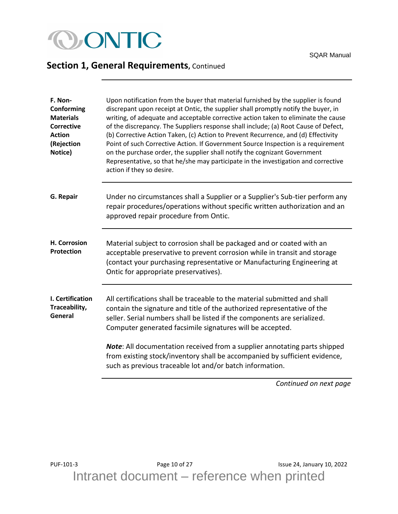## **OONTIC**

## **Section 1, General Requirements, Continued**

<span id="page-9-3"></span><span id="page-9-2"></span><span id="page-9-1"></span><span id="page-9-0"></span>

| F. Non-<br>Conforming<br><b>Materials</b><br><b>Corrective</b><br><b>Action</b><br>(Rejection<br>Notice) | Upon notification from the buyer that material furnished by the supplier is found<br>discrepant upon receipt at Ontic, the supplier shall promptly notify the buyer, in<br>writing, of adequate and acceptable corrective action taken to eliminate the cause<br>of the discrepancy. The Suppliers response shall include; (a) Root Cause of Defect,<br>(b) Corrective Action Taken, (c) Action to Prevent Recurrence, and (d) Effectivity<br>Point of such Corrective Action. If Government Source Inspection is a requirement<br>on the purchase order, the supplier shall notify the cognizant Government<br>Representative, so that he/she may participate in the investigation and corrective<br>action if they so desire. |
|----------------------------------------------------------------------------------------------------------|---------------------------------------------------------------------------------------------------------------------------------------------------------------------------------------------------------------------------------------------------------------------------------------------------------------------------------------------------------------------------------------------------------------------------------------------------------------------------------------------------------------------------------------------------------------------------------------------------------------------------------------------------------------------------------------------------------------------------------|
| G. Repair                                                                                                | Under no circumstances shall a Supplier or a Supplier's Sub-tier perform any<br>repair procedures/operations without specific written authorization and an<br>approved repair procedure from Ontic.                                                                                                                                                                                                                                                                                                                                                                                                                                                                                                                             |
| H. Corrosion<br>Protection                                                                               | Material subject to corrosion shall be packaged and or coated with an<br>acceptable preservative to prevent corrosion while in transit and storage<br>(contact your purchasing representative or Manufacturing Engineering at<br>Ontic for appropriate preservatives).                                                                                                                                                                                                                                                                                                                                                                                                                                                          |
| I. Certification<br>Traceability,<br>General                                                             | All certifications shall be traceable to the material submitted and shall<br>contain the signature and title of the authorized representative of the<br>seller. Serial numbers shall be listed if the components are serialized.<br>Computer generated facsimile signatures will be accepted.                                                                                                                                                                                                                                                                                                                                                                                                                                   |
|                                                                                                          | <b>Note:</b> All documentation received from a supplier annotating parts shipped<br>from existing stock/inventory shall be accompanied by sufficient evidence,<br>such as previous traceable lot and/or batch information.                                                                                                                                                                                                                                                                                                                                                                                                                                                                                                      |
|                                                                                                          | Continued on next page                                                                                                                                                                                                                                                                                                                                                                                                                                                                                                                                                                                                                                                                                                          |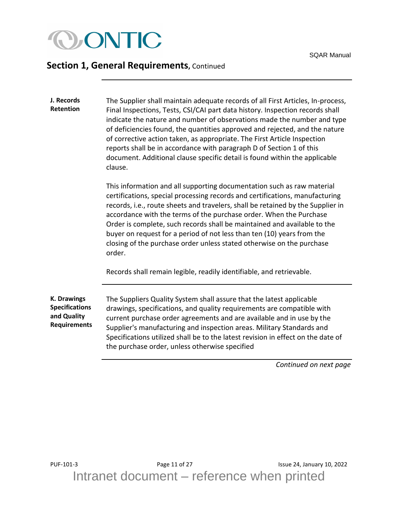

<span id="page-10-0"></span>**J. Records Retention** The Supplier shall maintain adequate records of all First Articles, In-process, Final Inspections, Tests, CSI/CAI part data history. Inspection records shall indicate the nature and number of observations made the number and type of deficiencies found, the quantities approved and rejected, and the nature of corrective action taken, as appropriate. The First Article Inspection reports shall be in accordance with paragraph D of Section 1 of this document. Additional clause specific detail is found within the applicable clause.

> This information and all supporting documentation such as raw material certifications, special processing records and certifications, manufacturing records, i.e., route sheets and travelers, shall be retained by the Supplier in accordance with the terms of the purchase order. When the Purchase Order is complete, such records shall be maintained and available to the buyer on request for a period of not less than ten (10) years from the closing of the purchase order unless stated otherwise on the purchase order.

Records shall remain legible, readily identifiable, and retrievable.

<span id="page-10-1"></span>**K. Drawings Specifications and Quality Requirements** The Suppliers Quality System shall assure that the latest applicable drawings, specifications, and quality requirements are compatible with current purchase order agreements and are available and in use by the Supplier's manufacturing and inspection areas. Military Standards and Specifications utilized shall be to the latest revision in effect on the date of the purchase order, unless otherwise specified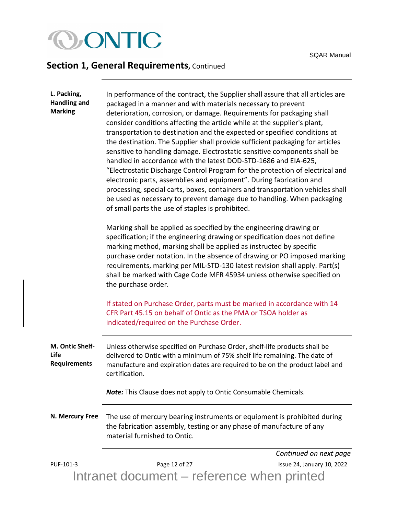

<span id="page-11-2"></span><span id="page-11-1"></span><span id="page-11-0"></span>

| L. Packing,<br><b>Handling and</b><br><b>Marking</b> | In performance of the contract, the Supplier shall assure that all articles are<br>packaged in a manner and with materials necessary to prevent<br>deterioration, corrosion, or damage. Requirements for packaging shall<br>consider conditions affecting the article while at the supplier's plant,<br>transportation to destination and the expected or specified conditions at<br>the destination. The Supplier shall provide sufficient packaging for articles<br>sensitive to handling damage. Electrostatic sensitive components shall be<br>handled in accordance with the latest DOD-STD-1686 and EIA-625,<br>"Electrostatic Discharge Control Program for the protection of electrical and<br>electronic parts, assemblies and equipment". During fabrication and<br>processing, special carts, boxes, containers and transportation vehicles shall<br>be used as necessary to prevent damage due to handling. When packaging<br>of small parts the use of staples is prohibited.<br>Marking shall be applied as specified by the engineering drawing or<br>specification; if the engineering drawing or specification does not define<br>marking method, marking shall be applied as instructed by specific<br>purchase order notation. In the absence of drawing or PO imposed marking<br>requirements, marking per MIL-STD-130 latest revision shall apply. Part(s)<br>shall be marked with Cage Code MFR 45934 unless otherwise specified on<br>the purchase order.<br>If stated on Purchase Order, parts must be marked in accordance with 14 |                            |
|------------------------------------------------------|-------------------------------------------------------------------------------------------------------------------------------------------------------------------------------------------------------------------------------------------------------------------------------------------------------------------------------------------------------------------------------------------------------------------------------------------------------------------------------------------------------------------------------------------------------------------------------------------------------------------------------------------------------------------------------------------------------------------------------------------------------------------------------------------------------------------------------------------------------------------------------------------------------------------------------------------------------------------------------------------------------------------------------------------------------------------------------------------------------------------------------------------------------------------------------------------------------------------------------------------------------------------------------------------------------------------------------------------------------------------------------------------------------------------------------------------------------------------------------------------------------------------------------------------------------------|----------------------------|
|                                                      | CFR Part 45.15 on behalf of Ontic as the PMA or TSOA holder as<br>indicated/required on the Purchase Order.                                                                                                                                                                                                                                                                                                                                                                                                                                                                                                                                                                                                                                                                                                                                                                                                                                                                                                                                                                                                                                                                                                                                                                                                                                                                                                                                                                                                                                                 |                            |
| M. Ontic Shelf-<br>Life<br><b>Requirements</b>       | Unless otherwise specified on Purchase Order, shelf-life products shall be<br>delivered to Ontic with a minimum of 75% shelf life remaining. The date of<br>manufacture and expiration dates are required to be on the product label and<br>certification.<br><b>Note:</b> This Clause does not apply to Ontic Consumable Chemicals.                                                                                                                                                                                                                                                                                                                                                                                                                                                                                                                                                                                                                                                                                                                                                                                                                                                                                                                                                                                                                                                                                                                                                                                                                        |                            |
| N. Mercury Free                                      | The use of mercury bearing instruments or equipment is prohibited during<br>the fabrication assembly, testing or any phase of manufacture of any<br>material furnished to Ontic.                                                                                                                                                                                                                                                                                                                                                                                                                                                                                                                                                                                                                                                                                                                                                                                                                                                                                                                                                                                                                                                                                                                                                                                                                                                                                                                                                                            |                            |
|                                                      |                                                                                                                                                                                                                                                                                                                                                                                                                                                                                                                                                                                                                                                                                                                                                                                                                                                                                                                                                                                                                                                                                                                                                                                                                                                                                                                                                                                                                                                                                                                                                             | Continued on next page     |
| PUF-101-3                                            | Page 12 of 27                                                                                                                                                                                                                                                                                                                                                                                                                                                                                                                                                                                                                                                                                                                                                                                                                                                                                                                                                                                                                                                                                                                                                                                                                                                                                                                                                                                                                                                                                                                                               | Issue 24, January 10, 2022 |
|                                                      | Intranet document – reference when printed                                                                                                                                                                                                                                                                                                                                                                                                                                                                                                                                                                                                                                                                                                                                                                                                                                                                                                                                                                                                                                                                                                                                                                                                                                                                                                                                                                                                                                                                                                                  |                            |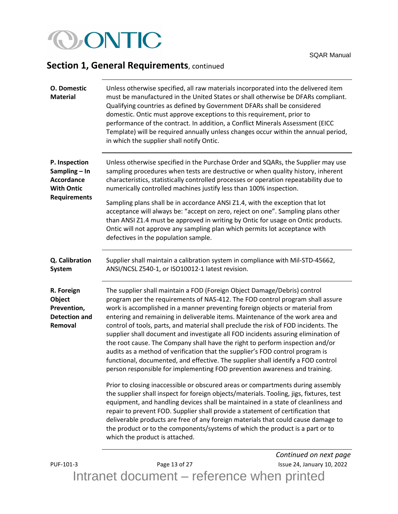# CONTIC

## **Section 1, General Requirements**, continued

<span id="page-12-2"></span><span id="page-12-1"></span><span id="page-12-0"></span>

| <b>O.</b> Domestic<br><b>Material</b>                                                           | Unless otherwise specified, all raw materials incorporated into the delivered item<br>must be manufactured in the United States or shall otherwise be DFARs compliant.<br>Qualifying countries as defined by Government DFARs shall be considered<br>domestic. Ontic must approve exceptions to this requirement, prior to<br>performance of the contract. In addition, a Conflict Minerals Assessment (EICC<br>Template) will be required annually unless changes occur within the annual period,<br>in which the supplier shall notify Ontic.                                                                                                                                                                                                                                                                                                                                                                                                                                                                                                                                                                                                                                                                                                                                                                                                                        |
|-------------------------------------------------------------------------------------------------|------------------------------------------------------------------------------------------------------------------------------------------------------------------------------------------------------------------------------------------------------------------------------------------------------------------------------------------------------------------------------------------------------------------------------------------------------------------------------------------------------------------------------------------------------------------------------------------------------------------------------------------------------------------------------------------------------------------------------------------------------------------------------------------------------------------------------------------------------------------------------------------------------------------------------------------------------------------------------------------------------------------------------------------------------------------------------------------------------------------------------------------------------------------------------------------------------------------------------------------------------------------------------------------------------------------------------------------------------------------------|
| P. Inspection<br>Sampling - In<br><b>Accordance</b><br><b>With Ontic</b><br><b>Requirements</b> | Unless otherwise specified in the Purchase Order and SQARs, the Supplier may use<br>sampling procedures when tests are destructive or when quality history, inherent<br>characteristics, statistically controlled processes or operation repeatability due to<br>numerically controlled machines justify less than 100% inspection.<br>Sampling plans shall be in accordance ANSI Z1.4, with the exception that lot<br>acceptance will always be: "accept on zero, reject on one". Sampling plans other<br>than ANSI Z1.4 must be approved in writing by Ontic for usage on Ontic products.<br>Ontic will not approve any sampling plan which permits lot acceptance with<br>defectives in the population sample.                                                                                                                                                                                                                                                                                                                                                                                                                                                                                                                                                                                                                                                      |
| Q. Calibration<br><b>System</b>                                                                 | Supplier shall maintain a calibration system in compliance with Mil-STD-45662,<br>ANSI/NCSL Z540-1, or ISO10012-1 latest revision.                                                                                                                                                                                                                                                                                                                                                                                                                                                                                                                                                                                                                                                                                                                                                                                                                                                                                                                                                                                                                                                                                                                                                                                                                                     |
| R. Foreign<br>Object<br>Prevention,<br><b>Detection and</b><br>Removal                          | The supplier shall maintain a FOD (Foreign Object Damage/Debris) control<br>program per the requirements of NAS-412. The FOD control program shall assure<br>work is accomplished in a manner preventing foreign objects or material from<br>entering and remaining in deliverable items. Maintenance of the work area and<br>control of tools, parts, and material shall preclude the risk of FOD incidents. The<br>supplier shall document and investigate all FOD incidents assuring elimination of<br>the root cause. The Company shall have the right to perform inspection and/or<br>audits as a method of verification that the supplier's FOD control program is<br>functional, documented, and effective. The supplier shall identify a FOD control<br>person responsible for implementing FOD prevention awareness and training.<br>Prior to closing inaccessible or obscured areas or compartments during assembly<br>the supplier shall inspect for foreign objects/materials. Tooling, jigs, fixtures, test<br>equipment, and handling devices shall be maintained in a state of cleanliness and<br>repair to prevent FOD. Supplier shall provide a statement of certification that<br>deliverable products are free of any foreign materials that could cause damage to<br>the product or to the components/systems of which the product is a part or to |
|                                                                                                 | which the product is attached.<br>Continued on next page                                                                                                                                                                                                                                                                                                                                                                                                                                                                                                                                                                                                                                                                                                                                                                                                                                                                                                                                                                                                                                                                                                                                                                                                                                                                                                               |

<span id="page-12-3"></span>PUF-101-3 Page 13 of 27 Issue 24, January 10, 2022 Intranet document – reference when printed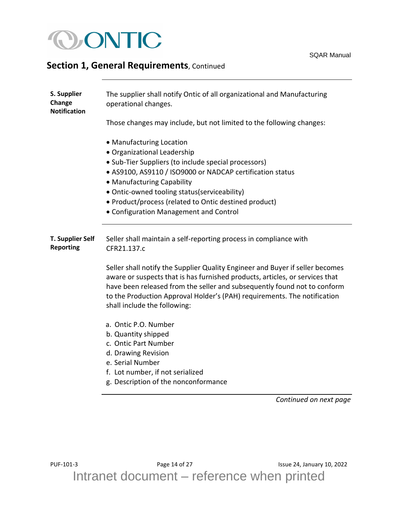

<span id="page-13-1"></span><span id="page-13-0"></span>

| S. Supplier<br>Change<br><b>Notification</b> | The supplier shall notify Ontic of all organizational and Manufacturing<br>operational changes.                                                                                                                                                                                                                                                               |
|----------------------------------------------|---------------------------------------------------------------------------------------------------------------------------------------------------------------------------------------------------------------------------------------------------------------------------------------------------------------------------------------------------------------|
|                                              | Those changes may include, but not limited to the following changes:                                                                                                                                                                                                                                                                                          |
|                                              | • Manufacturing Location<br>· Organizational Leadership<br>• Sub-Tier Suppliers (to include special processors)<br>• AS9100, AS9110 / ISO9000 or NADCAP certification status<br>• Manufacturing Capability<br>• Ontic-owned tooling status(serviceability)<br>• Product/process (related to Ontic destined product)<br>• Configuration Management and Control |
| <b>T. Supplier Self</b><br><b>Reporting</b>  | Seller shall maintain a self-reporting process in compliance with<br>CFR21.137.c                                                                                                                                                                                                                                                                              |
|                                              | Seller shall notify the Supplier Quality Engineer and Buyer if seller becomes<br>aware or suspects that is has furnished products, articles, or services that<br>have been released from the seller and subsequently found not to conform<br>to the Production Approval Holder's (PAH) requirements. The notification<br>shall include the following:         |
|                                              | a. Ontic P.O. Number<br>b. Quantity shipped<br>c. Ontic Part Number<br>d. Drawing Revision<br>e. Serial Number<br>f. Lot number, if not serialized<br>g. Description of the nonconformance                                                                                                                                                                    |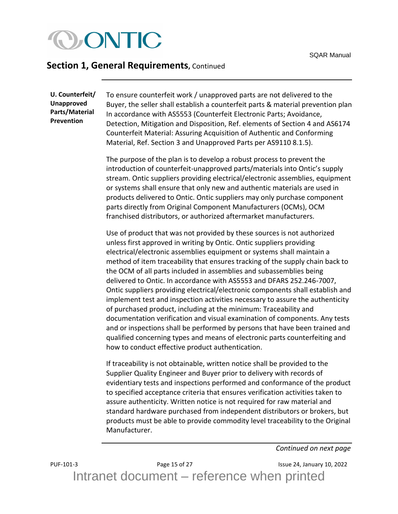

<span id="page-14-1"></span><span id="page-14-0"></span>**U. Counterfeit/ Unapproved Parts/Material Prevention**

To ensure counterfeit work / unapproved parts are not delivered to the Buyer, the seller shall establish a counterfeit parts & material prevention plan In accordance with AS5553 (Counterfeit Electronic Parts; Avoidance, Detection, Mitigation and Disposition, Ref. elements of Section 4 and AS6174 Counterfeit Material: Assuring Acquisition of Authentic and Conforming Material, Ref. Section 3 and Unapproved Parts per AS9110 8.1.5).

The purpose of the plan is to develop a robust process to prevent the introduction of counterfeit-unapproved parts/materials into Ontic's supply stream. Ontic suppliers providing electrical/electronic assemblies, equipment or systems shall ensure that only new and authentic materials are used in products delivered to Ontic. Ontic suppliers may only purchase component parts directly from Original Component Manufacturers (OCMs), OCM franchised distributors, or authorized aftermarket manufacturers.

Use of product that was not provided by these sources is not authorized unless first approved in writing by Ontic. Ontic suppliers providing electrical/electronic assemblies equipment or systems shall maintain a method of item traceability that ensures tracking of the supply chain back to the OCM of all parts included in assemblies and subassemblies being delivered to Ontic. In accordance with AS5553 and DFARS 252.246-7007, Ontic suppliers providing electrical/electronic components shall establish and implement test and inspection activities necessary to assure the authenticity of purchased product, including at the minimum: Traceability and documentation verification and visual examination of components. Any tests and or inspections shall be performed by persons that have been trained and qualified concerning types and means of electronic parts counterfeiting and how to conduct effective product authentication.

If traceability is not obtainable, written notice shall be provided to the Supplier Quality Engineer and Buyer prior to delivery with records of evidentiary tests and inspections performed and conformance of the product to specified acceptance criteria that ensures verification activities taken to assure authenticity. Written notice is not required for raw material and standard hardware purchased from independent distributors or brokers, but products must be able to provide commodity level traceability to the Original Manufacturer.

*Continued on next page*

PUF-101-3 Page 15 of 27 Issue 24, January 10, 2022 Intranet document – reference when printed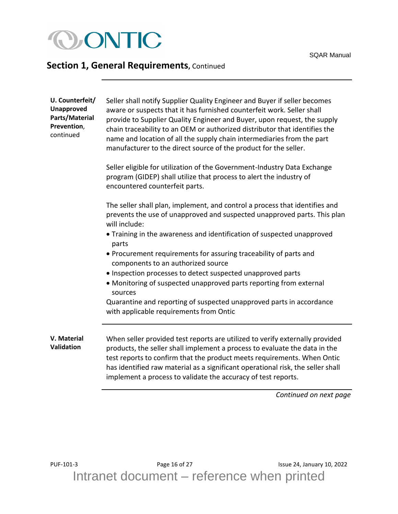

<span id="page-15-1"></span><span id="page-15-0"></span>

| U. Counterfeit/<br><b>Unapproved</b><br>Parts/Material<br>Prevention,<br>continued | Seller shall notify Supplier Quality Engineer and Buyer if seller becomes<br>aware or suspects that it has furnished counterfeit work. Seller shall<br>provide to Supplier Quality Engineer and Buyer, upon request, the supply<br>chain traceability to an OEM or authorized distributor that identifies the<br>name and location of all the supply chain intermediaries from the part<br>manufacturer to the direct source of the product for the seller. |
|------------------------------------------------------------------------------------|-------------------------------------------------------------------------------------------------------------------------------------------------------------------------------------------------------------------------------------------------------------------------------------------------------------------------------------------------------------------------------------------------------------------------------------------------------------|
|                                                                                    | Seller eligible for utilization of the Government-Industry Data Exchange<br>program (GIDEP) shall utilize that process to alert the industry of<br>encountered counterfeit parts.                                                                                                                                                                                                                                                                           |
|                                                                                    | The seller shall plan, implement, and control a process that identifies and<br>prevents the use of unapproved and suspected unapproved parts. This plan<br>will include:                                                                                                                                                                                                                                                                                    |
|                                                                                    | • Training in the awareness and identification of suspected unapproved<br>parts                                                                                                                                                                                                                                                                                                                                                                             |
|                                                                                    | • Procurement requirements for assuring traceability of parts and<br>components to an authorized source                                                                                                                                                                                                                                                                                                                                                     |
|                                                                                    | • Inspection processes to detect suspected unapproved parts                                                                                                                                                                                                                                                                                                                                                                                                 |
|                                                                                    | • Monitoring of suspected unapproved parts reporting from external<br>sources                                                                                                                                                                                                                                                                                                                                                                               |
|                                                                                    | Quarantine and reporting of suspected unapproved parts in accordance<br>with applicable requirements from Ontic                                                                                                                                                                                                                                                                                                                                             |
| V. Material<br>Validation                                                          | When seller provided test reports are utilized to verify externally provided<br>products, the seller shall implement a process to evaluate the data in the<br>test reports to confirm that the product meets requirements. When Ontic<br>has identified raw material as a significant operational risk, the seller shall<br>implement a process to validate the accuracy of test reports.                                                                   |
|                                                                                    | Continued on next page                                                                                                                                                                                                                                                                                                                                                                                                                                      |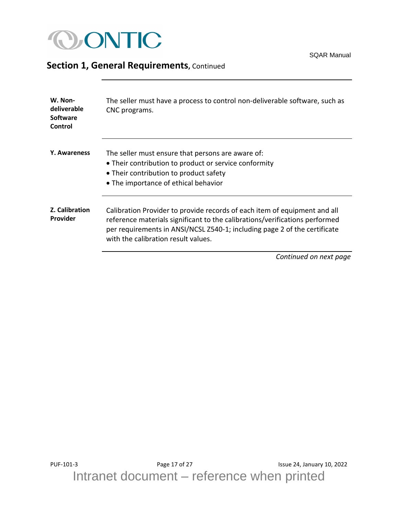

<span id="page-16-2"></span><span id="page-16-1"></span><span id="page-16-0"></span>

| W. Non-<br>deliverable<br><b>Software</b><br>Control | The seller must have a process to control non-deliverable software, such as<br>CNC programs.                                                                                                                                                                                 |
|------------------------------------------------------|------------------------------------------------------------------------------------------------------------------------------------------------------------------------------------------------------------------------------------------------------------------------------|
| <b>Y. Awareness</b>                                  | The seller must ensure that persons are aware of:<br>• Their contribution to product or service conformity<br>• Their contribution to product safety<br>• The importance of ethical behavior                                                                                 |
| Z. Calibration<br>Provider                           | Calibration Provider to provide records of each item of equipment and all<br>reference materials significant to the calibrations/verifications performed<br>per requirements in ANSI/NCSL Z540-1; including page 2 of the certificate<br>with the calibration result values. |
|                                                      | Continued on next page                                                                                                                                                                                                                                                       |

SQAR Manual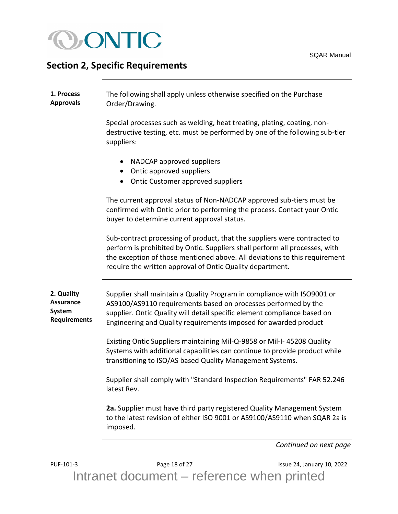

## <span id="page-17-0"></span>**Section 2, Specific Requirements**

<span id="page-17-1"></span>

| 1. Process<br><b>Approvals</b>                                  | The following shall apply unless otherwise specified on the Purchase<br>Order/Drawing.                                                                                                                                                                                                              |
|-----------------------------------------------------------------|-----------------------------------------------------------------------------------------------------------------------------------------------------------------------------------------------------------------------------------------------------------------------------------------------------|
|                                                                 | Special processes such as welding, heat treating, plating, coating, non-<br>destructive testing, etc. must be performed by one of the following sub-tier<br>suppliers:                                                                                                                              |
|                                                                 | NADCAP approved suppliers<br>Ontic approved suppliers<br>Ontic Customer approved suppliers<br>$\bullet$                                                                                                                                                                                             |
|                                                                 | The current approval status of Non-NADCAP approved sub-tiers must be<br>confirmed with Ontic prior to performing the process. Contact your Ontic<br>buyer to determine current approval status.                                                                                                     |
|                                                                 | Sub-contract processing of product, that the suppliers were contracted to<br>perform is prohibited by Ontic. Suppliers shall perform all processes, with<br>the exception of those mentioned above. All deviations to this requirement<br>require the written approval of Ontic Quality department. |
| 2. Quality<br><b>Assurance</b><br>System<br><b>Requirements</b> | Supplier shall maintain a Quality Program in compliance with ISO9001 or<br>AS9100/AS9110 requirements based on processes performed by the<br>supplier. Ontic Quality will detail specific element compliance based on<br>Engineering and Quality requirements imposed for awarded product           |
|                                                                 | Existing Ontic Suppliers maintaining Mil-Q-9858 or Mil-I-45208 Quality<br>Systems with additional capabilities can continue to provide product while<br>transitioning to ISO/AS based Quality Management Systems.                                                                                   |
|                                                                 | Supplier shall comply with "Standard Inspection Requirements" FAR 52.246<br>latest Rev.                                                                                                                                                                                                             |
|                                                                 | 2a. Supplier must have third party registered Quality Management System<br>to the latest revision of either ISO 9001 or AS9100/AS9110 when SQAR 2a is<br>imposed.                                                                                                                                   |
|                                                                 | Continued on next page                                                                                                                                                                                                                                                                              |

<span id="page-17-2"></span>PUF-101-3 Page 18 of 27 Page 18 of 27 Issue 24, January 10, 2022 Intranet document – reference when printed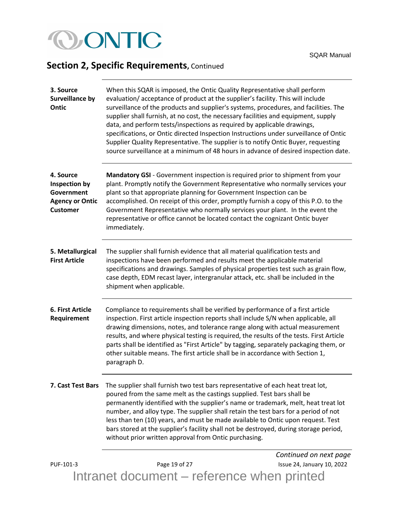# **OONTIC**

## **Section 2, Specific Requirements, Continued**

<span id="page-18-2"></span><span id="page-18-1"></span><span id="page-18-0"></span>

| 3. Source<br><b>Surveillance by</b><br>Ontic                                          | When this SQAR is imposed, the Ontic Quality Representative shall perform<br>evaluation/acceptance of product at the supplier's facility. This will include<br>surveillance of the products and supplier's systems, procedures, and facilities. The<br>supplier shall furnish, at no cost, the necessary facilities and equipment, supply<br>data, and perform tests/inspections as required by applicable drawings,<br>specifications, or Ontic directed Inspection Instructions under surveillance of Ontic<br>Supplier Quality Representative. The supplier is to notify Ontic Buyer, requesting<br>source surveillance at a minimum of 48 hours in advance of desired inspection date. |
|---------------------------------------------------------------------------------------|--------------------------------------------------------------------------------------------------------------------------------------------------------------------------------------------------------------------------------------------------------------------------------------------------------------------------------------------------------------------------------------------------------------------------------------------------------------------------------------------------------------------------------------------------------------------------------------------------------------------------------------------------------------------------------------------|
| 4. Source<br>Inspection by<br>Government<br><b>Agency or Ontic</b><br><b>Customer</b> | Mandatory GSI - Government inspection is required prior to shipment from your<br>plant. Promptly notify the Government Representative who normally services your<br>plant so that appropriate planning for Government Inspection can be<br>accomplished. On receipt of this order, promptly furnish a copy of this P.O. to the<br>Government Representative who normally services your plant. In the event the<br>representative or office cannot be located contact the cognizant Ontic buyer<br>immediately.                                                                                                                                                                             |
| 5. Metallurgical<br><b>First Article</b>                                              | The supplier shall furnish evidence that all material qualification tests and<br>inspections have been performed and results meet the applicable material<br>specifications and drawings. Samples of physical properties test such as grain flow,<br>case depth, EDM recast layer, intergranular attack, etc. shall be included in the<br>shipment when applicable.                                                                                                                                                                                                                                                                                                                        |
| 6. First Article<br>Requirement                                                       | Compliance to requirements shall be verified by performance of a first article<br>inspection. First article inspection reports shall include S/N when applicable, all<br>drawing dimensions, notes, and tolerance range along with actual measurement<br>results, and where physical testing is required, the results of the tests. First Article<br>parts shall be identified as "First Article" by tagging, separately packaging them, or<br>other suitable means. The first article shall be in accordance with Section 1,<br>paragraph D.                                                                                                                                              |
| 7. Cast Test Bars                                                                     | The supplier shall furnish two test bars representative of each heat treat lot,<br>poured from the same melt as the castings supplied. Test bars shall be<br>permanently identified with the supplier's name or trademark, melt, heat treat lot<br>number, and alloy type. The supplier shall retain the test bars for a period of not<br>less than ten (10) years, and must be made available to Ontic upon request. Test<br>bars stored at the supplier's facility shall not be destroyed, during storage period,<br>without prior written approval from Ontic purchasing.                                                                                                               |
| PUF-101-3                                                                             | Continued on next page<br>Page 19 of 27<br>Issue 24, January 10, 2022                                                                                                                                                                                                                                                                                                                                                                                                                                                                                                                                                                                                                      |

<span id="page-18-4"></span><span id="page-18-3"></span>Intranet document – reference when printed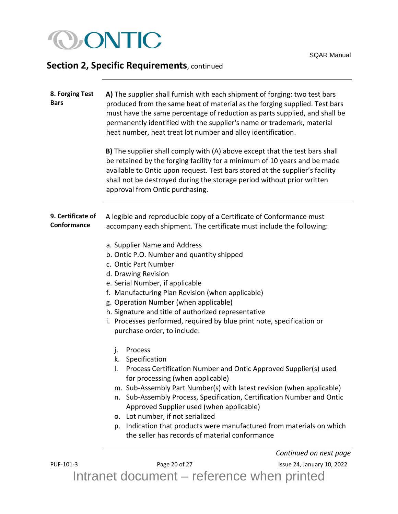

<span id="page-19-1"></span><span id="page-19-0"></span>

| 8. Forging Test<br><b>Bars</b>   | A) The supplier shall furnish with each shipment of forging: two test bars<br>produced from the same heat of material as the forging supplied. Test bars<br>must have the same percentage of reduction as parts supplied, and shall be<br>permanently identified with the supplier's name or trademark, material<br>heat number, heat treat lot number and alloy identification.<br>B) The supplier shall comply with (A) above except that the test bars shall<br>be retained by the forging facility for a minimum of 10 years and be made<br>available to Ontic upon request. Test bars stored at the supplier's facility<br>shall not be destroyed during the storage period without prior written<br>approval from Ontic purchasing.                                                                                                                                                                                                                                                                                                                                                                             |
|----------------------------------|-----------------------------------------------------------------------------------------------------------------------------------------------------------------------------------------------------------------------------------------------------------------------------------------------------------------------------------------------------------------------------------------------------------------------------------------------------------------------------------------------------------------------------------------------------------------------------------------------------------------------------------------------------------------------------------------------------------------------------------------------------------------------------------------------------------------------------------------------------------------------------------------------------------------------------------------------------------------------------------------------------------------------------------------------------------------------------------------------------------------------|
| 9. Certificate of<br>Conformance | A legible and reproducible copy of a Certificate of Conformance must<br>accompany each shipment. The certificate must include the following:<br>a. Supplier Name and Address<br>b. Ontic P.O. Number and quantity shipped<br>c. Ontic Part Number<br>d. Drawing Revision<br>e. Serial Number, if applicable<br>f. Manufacturing Plan Revision (when applicable)<br>g. Operation Number (when applicable)<br>h. Signature and title of authorized representative<br>i. Processes performed, required by blue print note, specification or<br>purchase order, to include:<br>j.<br>Process<br>k. Specification<br>Process Certification Number and Ontic Approved Supplier(s) used<br>I.<br>for processing (when applicable)<br>m. Sub-Assembly Part Number(s) with latest revision (when applicable)<br>Sub-Assembly Process, Specification, Certification Number and Ontic<br>n.<br>Approved Supplier used (when applicable)<br>o. Lot number, if not serialized<br>p. Indication that products were manufactured from materials on which<br>the seller has records of material conformance<br>Continued on next page |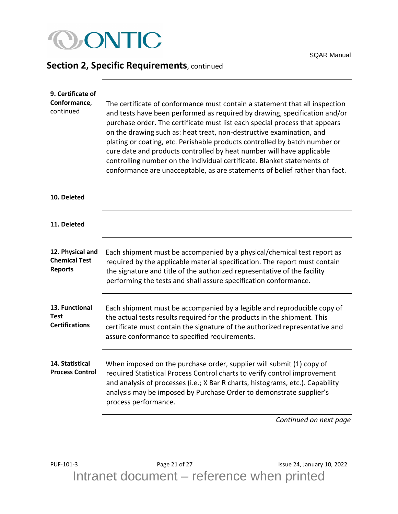

<span id="page-20-4"></span><span id="page-20-3"></span><span id="page-20-2"></span><span id="page-20-1"></span><span id="page-20-0"></span>

| 9. Certificate of<br>Conformance,<br>continued             | The certificate of conformance must contain a statement that all inspection<br>and tests have been performed as required by drawing, specification and/or<br>purchase order. The certificate must list each special process that appears<br>on the drawing such as: heat treat, non-destructive examination, and<br>plating or coating, etc. Perishable products controlled by batch number or<br>cure date and products controlled by heat number will have applicable<br>controlling number on the individual certificate. Blanket statements of<br>conformance are unacceptable, as are statements of belief rather than fact. |
|------------------------------------------------------------|-----------------------------------------------------------------------------------------------------------------------------------------------------------------------------------------------------------------------------------------------------------------------------------------------------------------------------------------------------------------------------------------------------------------------------------------------------------------------------------------------------------------------------------------------------------------------------------------------------------------------------------|
| 10. Deleted                                                |                                                                                                                                                                                                                                                                                                                                                                                                                                                                                                                                                                                                                                   |
| 11. Deleted                                                |                                                                                                                                                                                                                                                                                                                                                                                                                                                                                                                                                                                                                                   |
| 12. Physical and<br><b>Chemical Test</b><br><b>Reports</b> | Each shipment must be accompanied by a physical/chemical test report as<br>required by the applicable material specification. The report must contain<br>the signature and title of the authorized representative of the facility<br>performing the tests and shall assure specification conformance.                                                                                                                                                                                                                                                                                                                             |
| 13. Functional<br><b>Test</b><br><b>Certifications</b>     | Each shipment must be accompanied by a legible and reproducible copy of<br>the actual tests results required for the products in the shipment. This<br>certificate must contain the signature of the authorized representative and<br>assure conformance to specified requirements.                                                                                                                                                                                                                                                                                                                                               |
| 14. Statistical<br><b>Process Control</b>                  | When imposed on the purchase order, supplier will submit (1) copy of<br>required Statistical Process Control charts to verify control improvement<br>and analysis of processes (i.e.; X Bar R charts, histograms, etc.). Capability<br>analysis may be imposed by Purchase Order to demonstrate supplier's<br>process performance.                                                                                                                                                                                                                                                                                                |
|                                                            | Continued on next page                                                                                                                                                                                                                                                                                                                                                                                                                                                                                                                                                                                                            |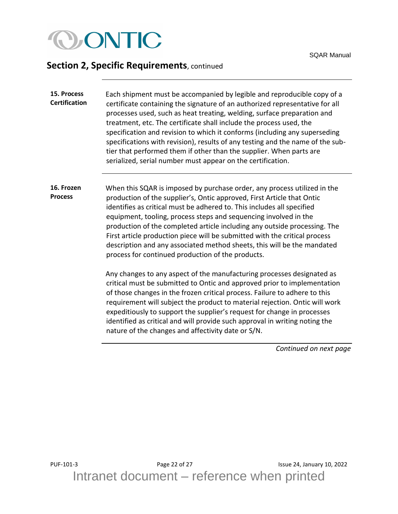

<span id="page-21-0"></span>

| 15. Process          | Each shipment must be accompanied by legible and reproducible copy of a        |
|----------------------|--------------------------------------------------------------------------------|
| <b>Certification</b> | certificate containing the signature of an authorized representative for all   |
|                      | processes used, such as heat treating, welding, surface preparation and        |
|                      | treatment, etc. The certificate shall include the process used, the            |
|                      | specification and revision to which it conforms (including any superseding     |
|                      | specifications with revision), results of any testing and the name of the sub- |
|                      | tier that performed them if other than the supplier. When parts are            |
|                      | serialized, serial number must appear on the certification.                    |

<span id="page-21-1"></span>**16. Frozen Process** When this SQAR is imposed by purchase order, any process utilized in the production of the supplier's, Ontic approved, First Article that Ontic identifies as critical must be adhered to. This includes all specified equipment, tooling, process steps and sequencing involved in the production of the completed article including any outside processing. The First article production piece will be submitted with the critical process description and any associated method sheets, this will be the mandated process for continued production of the products.

> Any changes to any aspect of the manufacturing processes designated as critical must be submitted to Ontic and approved prior to implementation of those changes in the frozen critical process. Failure to adhere to this requirement will subject the product to material rejection. Ontic will work expeditiously to support the supplier's request for change in processes identified as critical and will provide such approval in writing noting the nature of the changes and affectivity date or S/N.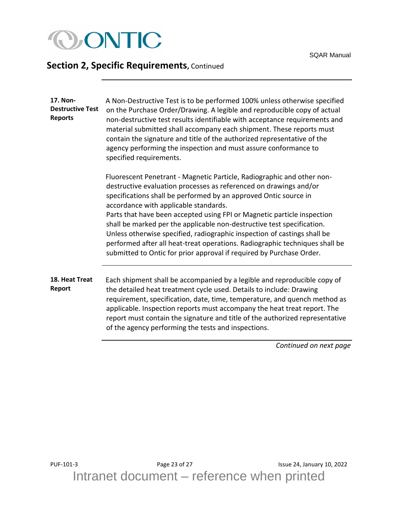

<span id="page-22-1"></span><span id="page-22-0"></span>

| 17. Non-<br><b>Destructive Test</b><br><b>Reports</b> | A Non-Destructive Test is to be performed 100% unless otherwise specified<br>on the Purchase Order/Drawing. A legible and reproducible copy of actual<br>non-destructive test results identifiable with acceptance requirements and<br>material submitted shall accompany each shipment. These reports must<br>contain the signature and title of the authorized representative of the<br>agency performing the inspection and must assure conformance to<br>specified requirements.                                                                                                                                                             |
|-------------------------------------------------------|--------------------------------------------------------------------------------------------------------------------------------------------------------------------------------------------------------------------------------------------------------------------------------------------------------------------------------------------------------------------------------------------------------------------------------------------------------------------------------------------------------------------------------------------------------------------------------------------------------------------------------------------------|
|                                                       | Fluorescent Penetrant - Magnetic Particle, Radiographic and other non-<br>destructive evaluation processes as referenced on drawings and/or<br>specifications shall be performed by an approved Ontic source in<br>accordance with applicable standards.<br>Parts that have been accepted using FPI or Magnetic particle inspection<br>shall be marked per the applicable non-destructive test specification.<br>Unless otherwise specified, radiographic inspection of castings shall be<br>performed after all heat-treat operations. Radiographic techniques shall be<br>submitted to Ontic for prior approval if required by Purchase Order. |
| 18. Heat Treat<br>Report                              | Each shipment shall be accompanied by a legible and reproducible copy of<br>the detailed heat treatment cycle used. Details to include: Drawing<br>requirement, specification, date, time, temperature, and quench method as<br>applicable. Inspection reports must accompany the heat treat report. The<br>report must contain the signature and title of the authorized representative<br>of the agency performing the tests and inspections.                                                                                                                                                                                                  |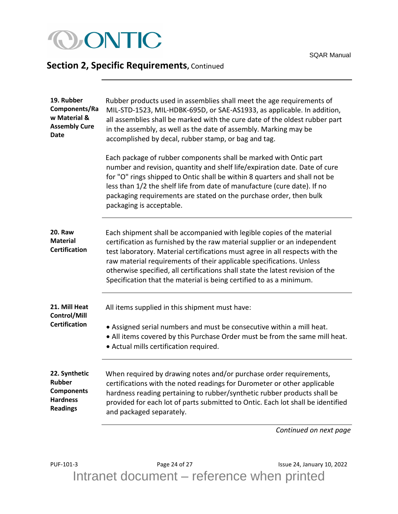<span id="page-23-1"></span><span id="page-23-0"></span>

| 19. Rubber<br>Components/Ra<br>w Material &<br><b>Assembly Cure</b><br><b>Date</b>        | Rubber products used in assemblies shall meet the age requirements of<br>MIL-STD-1523, MIL-HDBK-695D, or SAE-AS1933, as applicable. In addition,<br>all assemblies shall be marked with the cure date of the oldest rubber part<br>in the assembly, as well as the date of assembly. Marking may be<br>accomplished by decal, rubber stamp, or bag and tag.                                                                                                          |
|-------------------------------------------------------------------------------------------|----------------------------------------------------------------------------------------------------------------------------------------------------------------------------------------------------------------------------------------------------------------------------------------------------------------------------------------------------------------------------------------------------------------------------------------------------------------------|
|                                                                                           | Each package of rubber components shall be marked with Ontic part<br>number and revision, quantity and shelf life/expiration date. Date of cure<br>for "O" rings shipped to Ontic shall be within 8 quarters and shall not be<br>less than 1/2 the shelf life from date of manufacture (cure date). If no<br>packaging requirements are stated on the purchase order, then bulk<br>packaging is acceptable.                                                          |
| <b>20. Raw</b><br><b>Material</b><br><b>Certification</b>                                 | Each shipment shall be accompanied with legible copies of the material<br>certification as furnished by the raw material supplier or an independent<br>test laboratory. Material certifications must agree in all respects with the<br>raw material requirements of their applicable specifications. Unless<br>otherwise specified, all certifications shall state the latest revision of the<br>Specification that the material is being certified to as a minimum. |
| 21. Mill Heat<br>Control/Mill<br><b>Certification</b>                                     | All items supplied in this shipment must have:<br>• Assigned serial numbers and must be consecutive within a mill heat.<br>. All items covered by this Purchase Order must be from the same mill heat.<br>• Actual mills certification required.                                                                                                                                                                                                                     |
| 22. Synthetic<br><b>Rubber</b><br><b>Components</b><br><b>Hardness</b><br><b>Readings</b> | When required by drawing notes and/or purchase order requirements,<br>certifications with the noted readings for Durometer or other applicable<br>hardness reading pertaining to rubber/synthetic rubber products shall be<br>provided for each lot of parts submitted to Ontic. Each lot shall be identified<br>and packaged separately.                                                                                                                            |

*Continued on next page*

<span id="page-23-3"></span><span id="page-23-2"></span>PUF-101-3 Page 24 of 27 Page 24 of 27 Issue 24, January 10, 2022 Intranet document – reference when printed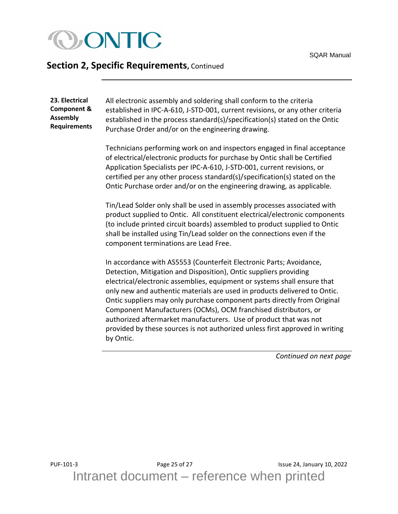

<span id="page-24-0"></span>**23. Electrical Component & Assembly Requirements** All electronic assembly and soldering shall conform to the criteria established in IPC-A-610, J-STD-001, current revisions, or any other criteria established in the process standard(s)/specification(s) stated on the Ontic Purchase Order and/or on the engineering drawing.

Technicians performing work on and inspectors engaged in final acceptance of electrical/electronic products for purchase by Ontic shall be Certified Application Specialists per IPC-A-610, J-STD-001, current revisions, or certified per any other process standard(s)/specification(s) stated on the Ontic Purchase order and/or on the engineering drawing, as applicable.

Tin/Lead Solder only shall be used in assembly processes associated with product supplied to Ontic. All constituent electrical/electronic components (to include printed circuit boards) assembled to product supplied to Ontic shall be installed using Tin/Lead solder on the connections even if the component terminations are Lead Free.

In accordance with AS5553 (Counterfeit Electronic Parts; Avoidance, Detection, Mitigation and Disposition), Ontic suppliers providing electrical/electronic assemblies, equipment or systems shall ensure that only new and authentic materials are used in products delivered to Ontic. Ontic suppliers may only purchase component parts directly from Original Component Manufacturers (OCMs), OCM franchised distributors, or authorized aftermarket manufacturers. Use of product that was not provided by these sources is not authorized unless first approved in writing by Ontic.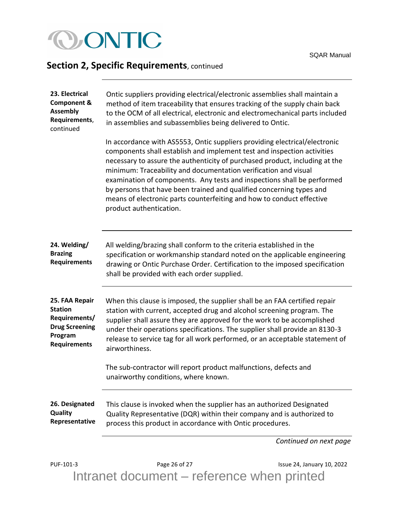

<span id="page-25-0"></span>

| 23. Electrical<br><b>Component &amp;</b><br><b>Assembly</b><br>Requirements,<br>continued                    | Ontic suppliers providing electrical/electronic assemblies shall maintain a<br>method of item traceability that ensures tracking of the supply chain back<br>to the OCM of all electrical, electronic and electromechanical parts included<br>in assemblies and subassemblies being delivered to Ontic.                                                                                                                                                                                                                                                        |
|--------------------------------------------------------------------------------------------------------------|----------------------------------------------------------------------------------------------------------------------------------------------------------------------------------------------------------------------------------------------------------------------------------------------------------------------------------------------------------------------------------------------------------------------------------------------------------------------------------------------------------------------------------------------------------------|
|                                                                                                              | In accordance with AS5553, Ontic suppliers providing electrical/electronic<br>components shall establish and implement test and inspection activities<br>necessary to assure the authenticity of purchased product, including at the<br>minimum: Traceability and documentation verification and visual<br>examination of components. Any tests and inspections shall be performed<br>by persons that have been trained and qualified concerning types and<br>means of electronic parts counterfeiting and how to conduct effective<br>product authentication. |
| 24. Welding/<br><b>Brazing</b><br><b>Requirements</b>                                                        | All welding/brazing shall conform to the criteria established in the<br>specification or workmanship standard noted on the applicable engineering<br>drawing or Ontic Purchase Order. Certification to the imposed specification<br>shall be provided with each order supplied.                                                                                                                                                                                                                                                                                |
| 25. FAA Repair<br><b>Station</b><br>Requirements/<br><b>Drug Screening</b><br>Program<br><b>Requirements</b> | When this clause is imposed, the supplier shall be an FAA certified repair<br>station with current, accepted drug and alcohol screening program. The<br>supplier shall assure they are approved for the work to be accomplished<br>under their operations specifications. The supplier shall provide an 8130-3<br>release to service tag for all work performed, or an acceptable statement of<br>airworthiness.                                                                                                                                               |
|                                                                                                              | The sub-contractor will report product malfunctions, defects and<br>unairworthy conditions, where known.                                                                                                                                                                                                                                                                                                                                                                                                                                                       |
| 26. Designated<br><b>Quality</b><br>Representative                                                           | This clause is invoked when the supplier has an authorized Designated<br>Quality Representative (DQR) within their company and is authorized to<br>process this product in accordance with Ontic procedures.                                                                                                                                                                                                                                                                                                                                                   |
|                                                                                                              | Continued on next page                                                                                                                                                                                                                                                                                                                                                                                                                                                                                                                                         |

<span id="page-25-2"></span><span id="page-25-1"></span>PUF-101-3 Page 26 of 27 **Page 26 of 27** Issue 24, January 10, 2022 Intranet document – reference when printed